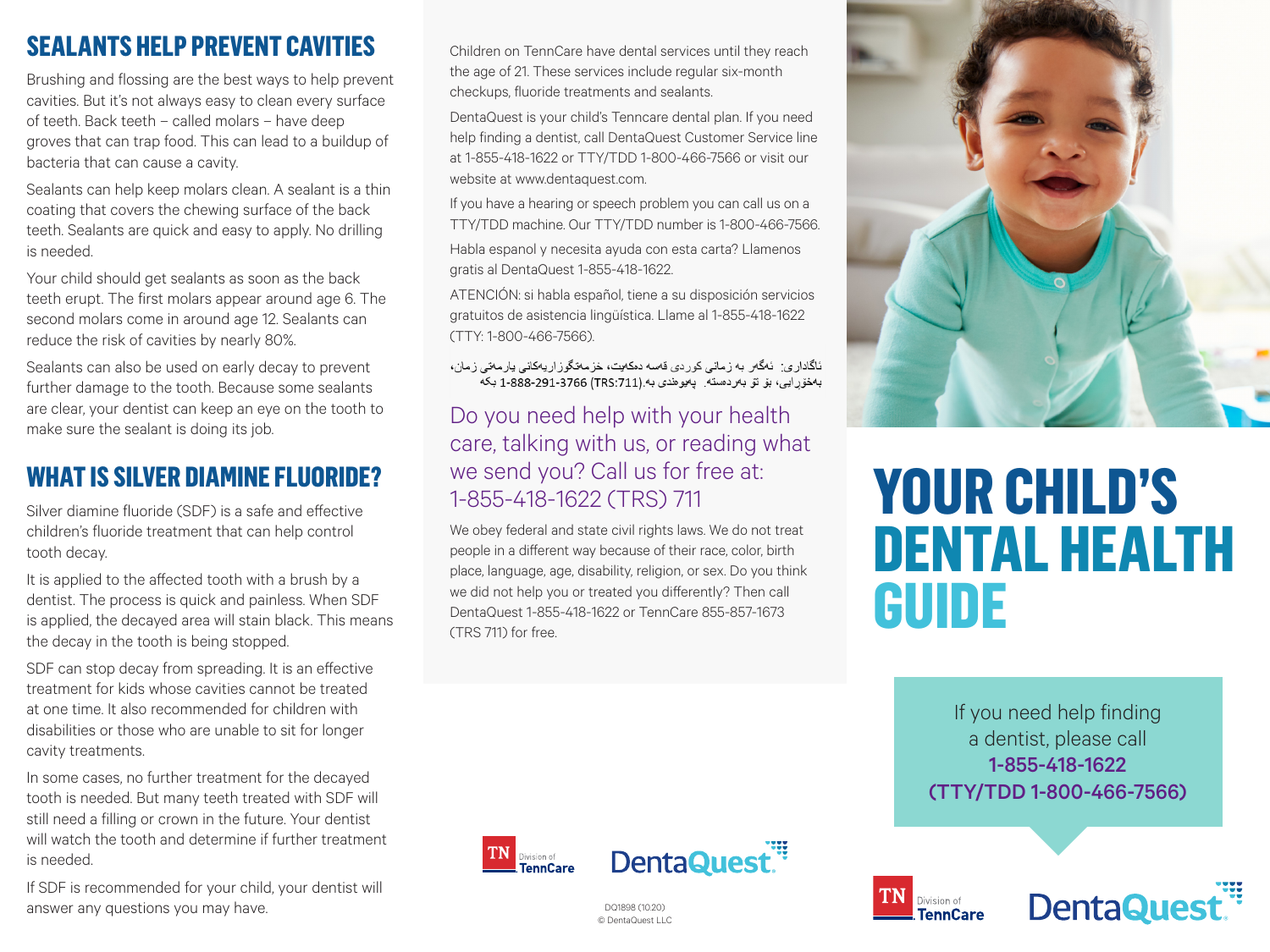## **SEALANTS HELP PREVENT CAVITIES**

Brushing and flossing are the best ways to help prevent cavities. But it's not always easy to clean every surface of teeth. Back teeth – called molars – have deep groves that can trap food. This can lead to a buildup of bacteria that can cause a cavity.

Sealants can help keep molars clean. A sealant is a thin coating that covers the chewing surface of the back teeth. Sealants are quick and easy to apply. No drilling is needed.

Your child should get sealants as soon as the back teeth erupt. The first molars appear around age 6. The second molars come in around age 12. Sealants can reduce the risk of cavities by nearly 80%.

Sealants can also be used on early decay to prevent further damage to the tooth. Because some sealants are clear, your dentist can keep an eye on the tooth to make sure the sealant is doing its job.

## **WHAT IS SILVER DIAMINE FLUORIDE?**

Silver diamine fluoride (SDF) is a safe and effective children's fluoride treatment that can help control tooth decay.

It is applied to the affected tooth with a brush by a dentist. The process is quick and painless. When SDF is applied, the decayed area will stain black. This means the decay in the tooth is being stopped.

SDF can stop decay from spreading. It is an effective treatment for kids whose cavities cannot be treated at one time. It also recommended for children with disabilities or those who are unable to sit for longer cavity treatments.

In some cases, no further treatment for the decayed tooth is needed. But many teeth treated with SDF will still need a filling or crown in the future. Your dentist will watch the tooth and determine if further treatment is needed.

If SDF is recommended for your child, your dentist will answer any questions you may have.

Children on TennCare have dental services until they reach the age of 21. These services include regular six-month checkups, fluoride treatments and sealants.

DentaQuest is your child's Tenncare dental plan. If you need help finding a dentist, call DentaQuest Customer Service line at 1-855-418-1622 or TTY/TDD 1-800-466-7566 or visit our website at www.dentaquest.com.

If you have a hearing or speech problem you can call us on a TTY/TDD machine. Our TTY/TDD number is 1-800-466-7566.

Habla espanol y necesita ayuda con esta carta? Llamenos gratis al DentaQuest 1-855-418-1622.

ATENCIÓN: si habla español, tiene a su disposición servicios gratuitos de asistencia lingüística. Llame al 1-855-418-1622 (TTY: 1-800-466-7566).

ئاگاداری: ئەگەر بە زمانی كوردی قەسە دەكەيت، خزمەتگوزاريەكانى يارمەتى زمان، بەخۆرايى، بۆ تۆ بەردەستە. پەيوەندى بە.(TRS:711) 1-888-291-3766 بكە

### Do you need help with your health care, talking with us, or reading what we send you? Call us for free at: 1-855-418-1622 (TRS) 711

We obey federal and state civil rights laws. We do not treat people in a different way because of their race, color, birth place, language, age, disability, religion, or sex. Do you think we did not help you or treated you differently? Then call DentaQuest 1-855-418-1622 or TennCare 855-857-1673 (TRS 711) for free.



# **YOUR CHILD'S DENTAL HEALTH GUIDE**

If you need help finding a dentist, please call 1-855-418-1622 (TTY/TDD 1-800-466-7566)





DQ1898 (10.20) © DentaQuest LLC